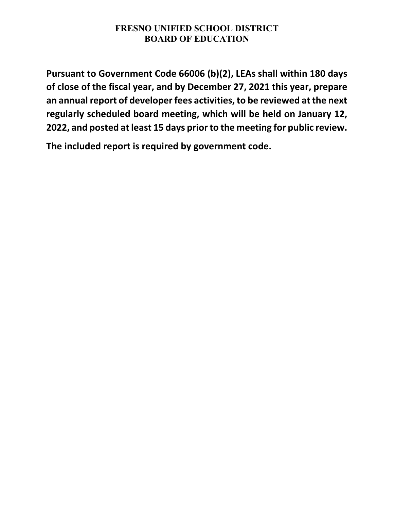**Pursuant to Government Code 66006 (b)(2), LEAs shall within 180 days of close of the fiscal year, and by December 27, 2021 this year, prepare an annual report of developer fees activities, to be reviewed at the next regularly scheduled board meeting, which will be held on January 12, 2022, and posted at least 15 days prior to the meeting for public review.**

**The included report is required by government code.**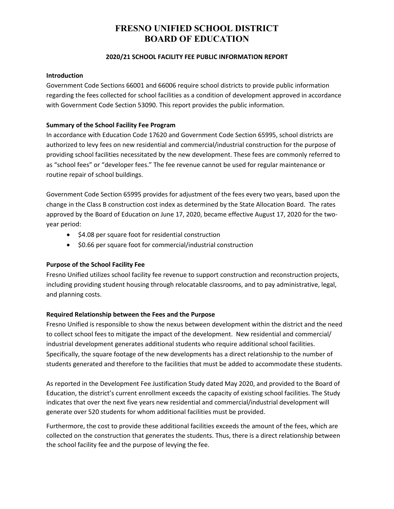### **2020/21 SCHOOL FACILITY FEE PUBLIC INFORMATION REPORT**

#### **Introduction**

Government Code Sections 66001 and 66006 require school districts to provide public information regarding the fees collected for school facilities as a condition of development approved in accordance with Government Code Section 53090. This report provides the public information.

#### **Summary of the School Facility Fee Program**

In accordance with Education Code 17620 and Government Code Section 65995, school districts are authorized to levy fees on new residential and commercial/industrial construction for the purpose of providing school facilities necessitated by the new development. These fees are commonly referred to as "school fees" or "developer fees." The fee revenue cannot be used for regular maintenance or routine repair of school buildings.

Government Code Section 65995 provides for adjustment of the fees every two years, based upon the change in the Class B construction cost index as determined by the State Allocation Board. The rates approved by the Board of Education on June 17, 2020, became effective August 17, 2020 for the twoyear period:

- \$4.08 per square foot for residential construction
- \$0.66 per square foot for commercial/industrial construction

#### **Purpose of the School Facility Fee**

Fresno Unified utilizes school facility fee revenue to support construction and reconstruction projects, including providing student housing through relocatable classrooms, and to pay administrative, legal, and planning costs.

#### **Required Relationship between the Fees and the Purpose**

Fresno Unified is responsible to show the nexus between development within the district and the need to collect school fees to mitigate the impact of the development. New residential and commercial/ industrial development generates additional students who require additional school facilities. Specifically, the square footage of the new developments has a direct relationship to the number of students generated and therefore to the facilities that must be added to accommodate these students.

As reported in the Development Fee Justification Study dated May 2020, and provided to the Board of Education, the district's current enrollment exceeds the capacity of existing school facilities. The Study indicates that over the next five years new residential and commercial/industrial development will generate over 520 students for whom additional facilities must be provided.

Furthermore, the cost to provide these additional facilities exceeds the amount of the fees, which are collected on the construction that generates the students. Thus, there is a direct relationship between the school facility fee and the purpose of levying the fee.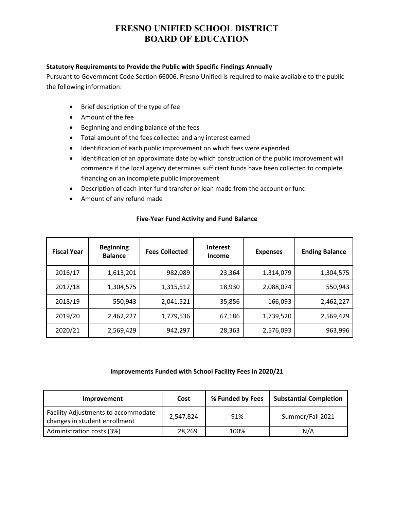#### **Statutory Requirements to Provide the Public with Specific Findings Annually**

Pursuant to Government Code Section 66006, Fresno Unified is required to make available to the public the following information:

- Brief description of the type of fee
- Amount of the fee
- Beginning and ending balance of the fees
- Total amount of the fees collected and any interest earned
- Identification of each public improvement on which fees were expended
- Identification of an approximate date by which construction of the public improvement will commence if the local agency determines sufficient funds have been collected to complete financing on an incomplete public improvement
- Description of each inter-fund transfer or loan made from the account or fund
- Amount of any refund made

| <b>Fiscal Year</b> | <b>Beginning</b><br><b>Balance</b> | <b>Fees Collected</b> | <b>Interest</b><br><b>Income</b> | <b>Expenses</b> | <b>Ending Balance</b> |
|--------------------|------------------------------------|-----------------------|----------------------------------|-----------------|-----------------------|
| 2016/17            | 1,613,201                          | 982,089               | 23,364                           | 1,314,079       | 1,304,575             |
| 2017/18            | 1,304,575                          | 1,315,512             | 18,930                           | 2,088,074       | 550,943               |
| 2018/19            | 550,943                            | 2,041,521             | 35,856                           | 166,093         | 2,462,227             |
| 2019/20            | 2,462,227                          | 1,779,536             | 67,186                           | 1,739,520       | 2,569,429             |
| 2020/21            | 2,569,429                          | 942,297               | 28,363                           | 2,576,093       | 963,996               |

### **Five-Year Fund Activity and Fund Balance**

## **Improvements Funded with School Facility Fees in 2020/21**

| <b>Improvement</b>                                                   | Cost      | % Funded by Fees | <b>Substantial Completion</b> |
|----------------------------------------------------------------------|-----------|------------------|-------------------------------|
| Facility Adjustments to accommodate<br>changes in student enrollment | 2,547,824 | 91%              | Summer/Fall 2021              |
| Administration costs (3%)                                            | 28,269    | 100%             | N/A                           |